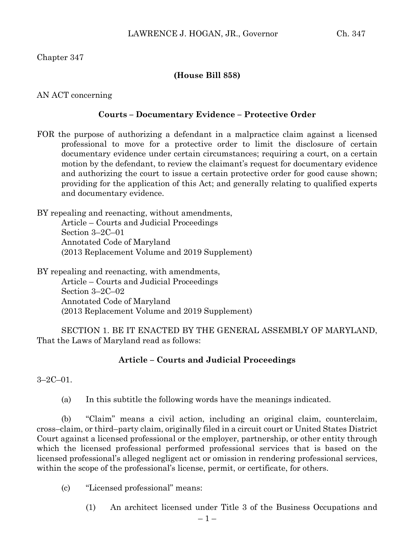# Chapter 347

#### **(House Bill 858)**

#### AN ACT concerning

# **Courts – Documentary Evidence – Protective Order**

FOR the purpose of authorizing a defendant in a malpractice claim against a licensed professional to move for a protective order to limit the disclosure of certain documentary evidence under certain circumstances; requiring a court, on a certain motion by the defendant, to review the claimant's request for documentary evidence and authorizing the court to issue a certain protective order for good cause shown; providing for the application of this Act; and generally relating to qualified experts and documentary evidence.

BY repealing and reenacting, without amendments, Article – Courts and Judicial Proceedings Section 3–2C–01 Annotated Code of Maryland (2013 Replacement Volume and 2019 Supplement)

BY repealing and reenacting, with amendments, Article – Courts and Judicial Proceedings Section 3–2C–02 Annotated Code of Maryland (2013 Replacement Volume and 2019 Supplement)

SECTION 1. BE IT ENACTED BY THE GENERAL ASSEMBLY OF MARYLAND, That the Laws of Maryland read as follows:

# **Article – Courts and Judicial Proceedings**

 $3 - 2C - 01$ 

(a) In this subtitle the following words have the meanings indicated.

(b) "Claim" means a civil action, including an original claim, counterclaim, cross–claim, or third–party claim, originally filed in a circuit court or United States District Court against a licensed professional or the employer, partnership, or other entity through which the licensed professional performed professional services that is based on the licensed professional's alleged negligent act or omission in rendering professional services, within the scope of the professional's license, permit, or certificate, for others.

(c) "Licensed professional" means:

(1) An architect licensed under Title 3 of the Business Occupations and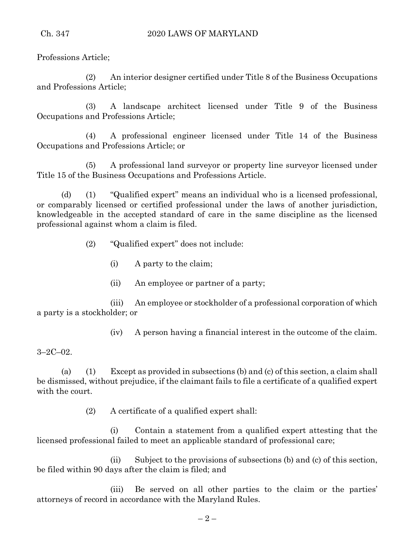Professions Article;

(2) An interior designer certified under Title 8 of the Business Occupations and Professions Article;

(3) A landscape architect licensed under Title 9 of the Business Occupations and Professions Article;

(4) A professional engineer licensed under Title 14 of the Business Occupations and Professions Article; or

(5) A professional land surveyor or property line surveyor licensed under Title 15 of the Business Occupations and Professions Article.

(d) (1) "Qualified expert" means an individual who is a licensed professional, or comparably licensed or certified professional under the laws of another jurisdiction, knowledgeable in the accepted standard of care in the same discipline as the licensed professional against whom a claim is filed.

(2) "Qualified expert" does not include:

- (i) A party to the claim;
- (ii) An employee or partner of a party;

(iii) An employee or stockholder of a professional corporation of which a party is a stockholder; or

(iv) A person having a financial interest in the outcome of the claim.

3–2C–02.

(a) (1) Except as provided in subsections (b) and (c) of this section, a claim shall be dismissed, without prejudice, if the claimant fails to file a certificate of a qualified expert with the court.

(2) A certificate of a qualified expert shall:

(i) Contain a statement from a qualified expert attesting that the licensed professional failed to meet an applicable standard of professional care;

(ii) Subject to the provisions of subsections (b) and (c) of this section, be filed within 90 days after the claim is filed; and

(iii) Be served on all other parties to the claim or the parties' attorneys of record in accordance with the Maryland Rules.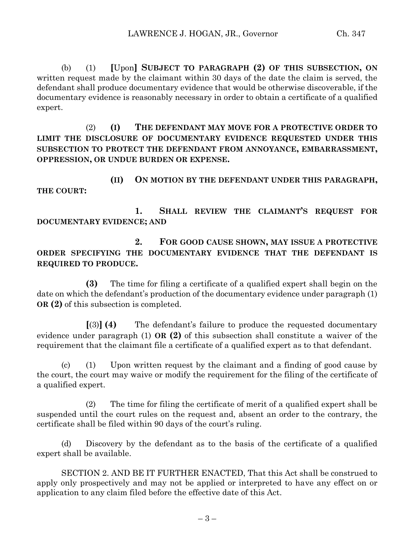(b) (1) **[**Upon**] SUBJECT TO PARAGRAPH (2) OF THIS SUBSECTION, ON** written request made by the claimant within 30 days of the date the claim is served, the defendant shall produce documentary evidence that would be otherwise discoverable, if the documentary evidence is reasonably necessary in order to obtain a certificate of a qualified expert.

(2) **(I) THE DEFENDANT MAY MOVE FOR A PROTECTIVE ORDER TO LIMIT THE DISCLOSURE OF DOCUMENTARY EVIDENCE REQUESTED UNDER THIS SUBSECTION TO PROTECT THE DEFENDANT FROM ANNOYANCE, EMBARRASSMENT, OPPRESSION, OR UNDUE BURDEN OR EXPENSE.**

**(II) ON MOTION BY THE DEFENDANT UNDER THIS PARAGRAPH, THE COURT:**

**1. SHALL REVIEW THE CLAIMANT'S REQUEST FOR DOCUMENTARY EVIDENCE; AND** 

**2. FOR GOOD CAUSE SHOWN, MAY ISSUE A PROTECTIVE ORDER SPECIFYING THE DOCUMENTARY EVIDENCE THAT THE DEFENDANT IS REQUIRED TO PRODUCE.**

**(3)** The time for filing a certificate of a qualified expert shall begin on the date on which the defendant's production of the documentary evidence under paragraph (1) **OR (2)** of this subsection is completed.

**[**(3)**] (4)** The defendant's failure to produce the requested documentary evidence under paragraph (1) **OR (2)** of this subsection shall constitute a waiver of the requirement that the claimant file a certificate of a qualified expert as to that defendant.

(c) (1) Upon written request by the claimant and a finding of good cause by the court, the court may waive or modify the requirement for the filing of the certificate of a qualified expert.

(2) The time for filing the certificate of merit of a qualified expert shall be suspended until the court rules on the request and, absent an order to the contrary, the certificate shall be filed within 90 days of the court's ruling.

(d) Discovery by the defendant as to the basis of the certificate of a qualified expert shall be available.

SECTION 2. AND BE IT FURTHER ENACTED, That this Act shall be construed to apply only prospectively and may not be applied or interpreted to have any effect on or application to any claim filed before the effective date of this Act.